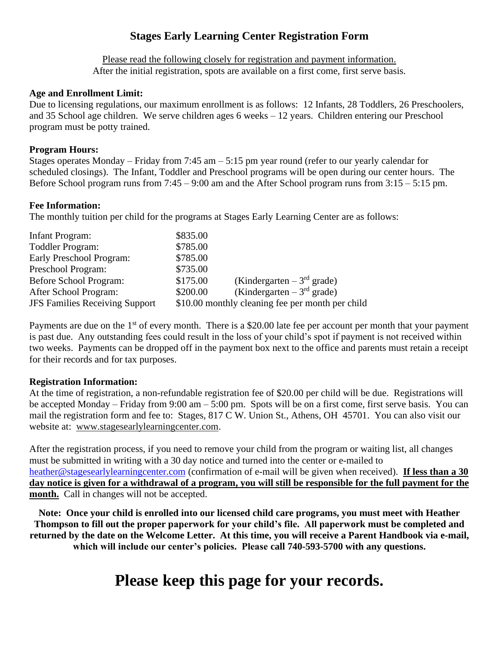## **Stages Early Learning Center Registration Form**

Please read the following closely for registration and payment information. After the initial registration, spots are available on a first come, first serve basis.

#### **Age and Enrollment Limit:**

Due to licensing regulations, our maximum enrollment is as follows: 12 Infants, 28 Toddlers, 26 Preschoolers, and 35 School age children. We serve children ages 6 weeks – 12 years. Children entering our Preschool program must be potty trained.

#### **Program Hours:**

Stages operates Monday – Friday from 7:45 am – 5:15 pm year round (refer to our yearly calendar for scheduled closings). The Infant, Toddler and Preschool programs will be open during our center hours. The Before School program runs from 7:45 – 9:00 am and the After School program runs from 3:15 – 5:15 pm.

#### **Fee Information:**

The monthly tuition per child for the programs at Stages Early Learning Center are as follows:

| Infant Program:                       | \$835.00 |                                                  |
|---------------------------------------|----------|--------------------------------------------------|
| <b>Toddler Program:</b>               | \$785.00 |                                                  |
| Early Preschool Program:              | \$785.00 |                                                  |
| Preschool Program:                    | \$735.00 |                                                  |
| Before School Program:                | \$175.00 | (Kindergarten – $3rd$ grade)                     |
| After School Program:                 | \$200.00 | (Kindergarten – $3rd$ grade)                     |
| <b>JFS Families Receiving Support</b> |          | \$10.00 monthly cleaning fee per month per child |

Payments are due on the  $1<sup>st</sup>$  of every month. There is a \$20.00 late fee per account per month that your payment is past due. Any outstanding fees could result in the loss of your child's spot if payment is not received within two weeks. Payments can be dropped off in the payment box next to the office and parents must retain a receipt for their records and for tax purposes.

#### **Registration Information:**

At the time of registration, a non-refundable registration fee of \$20.00 per child will be due. Registrations will be accepted Monday – Friday from 9:00 am – 5:00 pm. Spots will be on a first come, first serve basis. You can mail the registration form and fee to: Stages, 817 C W. Union St., Athens, OH 45701. You can also visit our website at: [www.stagesearlylearningcenter.com.](http://www.stagesearlylearningcenter.com/)

After the registration process, if you need to remove your child from the program or waiting list, all changes must be submitted in writing with a 30 day notice and turned into the center or e-mailed to [heather@stagesearlylearningcenter.com](mailto:heather@stagesearlylearningcenter.com) (confirmation of e-mail will be given when received). **If less than a 30 day notice is given for a withdrawal of a program, you will still be responsible for the full payment for the month.** Call in changes will not be accepted.

**Note: Once your child is enrolled into our licensed child care programs, you must meet with Heather Thompson to fill out the proper paperwork for your child's file. All paperwork must be completed and returned by the date on the Welcome Letter. At this time, you will receive a Parent Handbook via e-mail, which will include our center's policies. Please call 740-593-5700 with any questions.**

# **Please keep this page for your records.**